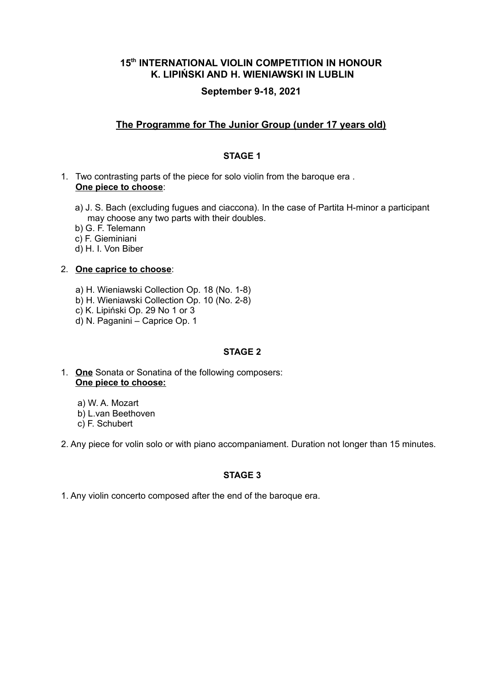# **15th INTERNATIONAL VIOLIN COMPETITION IN HONOUR K. LIPIŃSKI AND H. WIENIAWSKI IN LUBLIN**

# **September 9-18, 2021**

# **The Programme for The Junior Group (under 17 years old)**

## **STAGE 1**

- 1. Two contrasting parts of the piece for solo violin from the baroque era . **One piece to choose**:
	- a) J. S. Bach (excluding fugues and ciaccona). In the case of Partita H-minor a participant may choose any two parts with their doubles.
	- b) G. F. Telemann
	- c) F. Gieminiani
	- d) H. I. Von Biber

### 2. **One caprice to choose**:

- a) H. Wieniawski Collection Op. 18 (No. 1-8)
- b) H. Wieniawski Collection Op. 10 (No. 2-8)
- c) K. Lipiński Op. 29 No 1 or 3
- d) N. Paganini Caprice Op. 1

## **STAGE 2**

1. **One** Sonata or Sonatina of the following composers: **One piece to choose:**

 a) W. A. Mozart b) L.van Beethoven c) F. Schubert

2. Any piece for volin solo or with piano accompaniament. Duration not longer than 15 minutes.

## **STAGE 3**

1. Any violin concerto composed after the end of the baroque era.